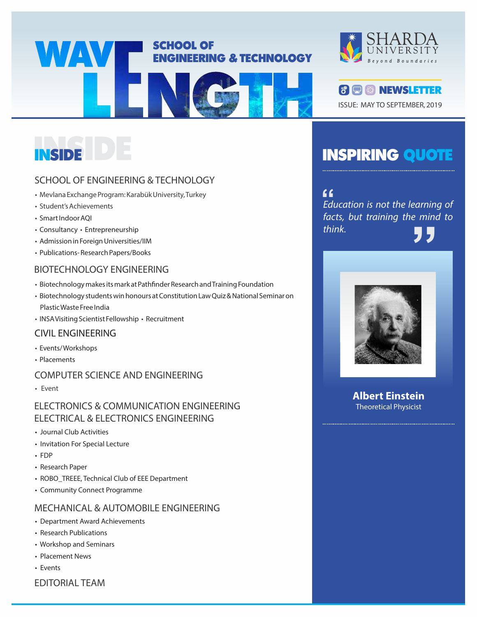

## SCHOOL OF ENGINEERING & TECHNOLOGY

- Mevlana Exchange Program: Karabük University, Turkey
- Student's Achievements
- Smart Indoor AQI
- Consultancy Entrepreneurship
- Admission in Foreign Universities/IIM
- Publications- Research Papers/Books

### BIOTECHNOLOGY ENGINEERING

- Biotechnology makes its mark at Pathfinder Research and Training Foundation
- Biotechnology students win honours at Constitution Law Quiz & National Seminar on Plastic Waste Free India
- INSA Visiting Scientist Fellowship Recruitment

### CIVIL ENGINEERING

- Events/ Workshops
- Placements

### COMPUTER SCIENCE AND ENGINEERING

• Event

### ELECTRONICS & COMMUNICATION ENGINEERING ELECTRICAL & ELECTRONICS ENGINEERING

- Journal Club Activities
- Invitation For Special Lecture
- FDP
- Research Paper
- ROBO\_TREEE, Technical Club of EEE Department
- Community Connect Programme

### MECHANICAL & AUTOMOBILE ENGINEERING

- Department Award Achievements
- Research Publications
- Workshop and Seminars
- Placement News
- Events
- EDITORIAL TEAM





## INSPIRING QUOTE

Education is not the learning of **"** facts, but training the mind to think. <sup>arning or<br>! mind to<br>**7 7**</sup>



**Albert Einstein** Theoretical Physicist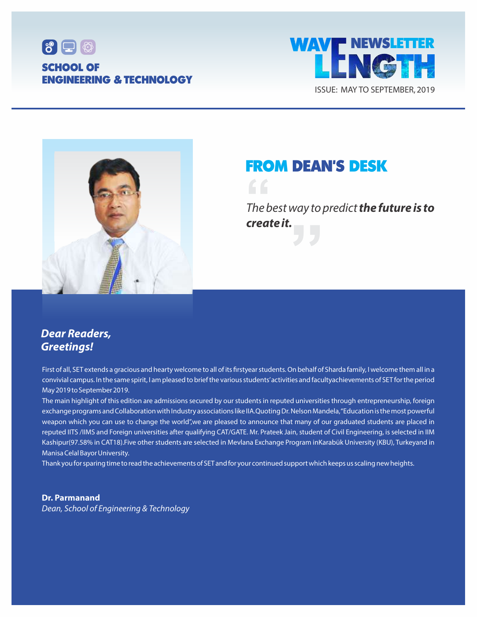





## FROM DEAN'S DESK

The best way to predict **the future is to create it. f**<br>The b<br>**crea** vay to predict<br>J

## **Dear Readers, Greetings!**

First of all, SET extends a gracious and hearty welcome to all of its firstyear students. On behalf of Sharda family, I welcome them all in a convivial campus. In the same spirit, I am pleased to brief the various students'activities and facultyachievements of SET for the period May 2019 to September 2019.

The main highlight of this edition are admissions secured by our students in reputed universities through entrepreneurship, foreign exchange programs and Collaboration with Industry associations like IIA.Quoting Dr. Nelson Mandela, "Education is the most powerful weapon which you can use to change the world",we are pleased to announce that many of our graduated students are placed in reputed IITS /IIMS and Foreign universities after qualifying CAT/GATE. Mr. Prateek Jain, student of Civil Engineering, is selected in IIM Kashipur(97.58% in CAT18).Five other students are selected in Mevlana Exchange Program inKarabük University (KBU), Turkeyand in Manisa Celal Bayor University.

Thank you for sparing time to read the achievements of SET and for your continued support which keeps us scaling new heights.

**Dr. Parmanand** Dean, School of Engineering & Technology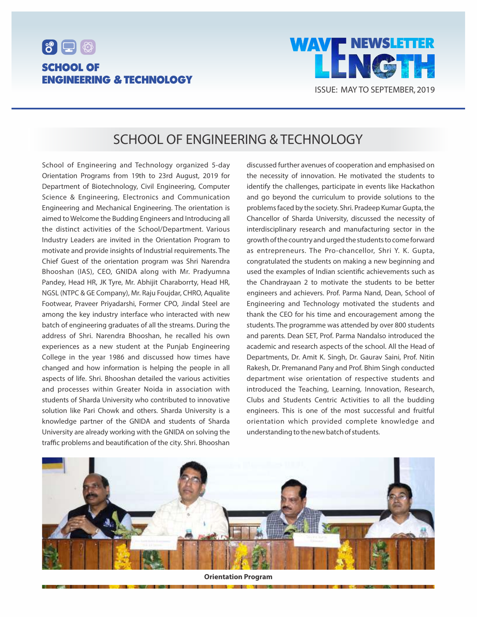



## SCHOOL OF ENGINEERING & TECHNOLOGY

School of Engineering and Technology organized 5-day Orientation Programs from 19th to 23rd August, 2019 for Department of Biotechnology, Civil Engineering, Computer Science & Engineering, Electronics and Communication Engineering and Mechanical Engineering. The orientation is aimed to Welcome the Budding Engineers and Introducing all the distinct activities of the School/Department. Various Industry Leaders are invited in the Orientation Program to motivate and provide insights of Industrial requirements. The Chief Guest of the orientation program was Shri Narendra Bhooshan (IAS), CEO, GNIDA along with Mr. Pradyumna Pandey, Head HR, JK Tyre, Mr. Abhijit Charaborrty, Head HR, NGSL (NTPC & GE Company), Mr. Raju Foujdar, CHRO, Aqualite Footwear, Praveer Priyadarshi, Former CPO, Jindal Steel are among the key industry interface who interacted with new batch of engineering graduates of all the streams. During the address of Shri. Narendra Bhooshan, he recalled his own experiences as a new student at the Punjab Engineering College in the year 1986 and discussed how times have changed and how information is helping the people in all aspects of life. Shri. Bhooshan detailed the various activities and processes within Greater Noida in association with students of Sharda University who contributed to innovative solution like Pari Chowk and others. Sharda University is a knowledge partner of the GNIDA and students of Sharda University are already working with the GNIDA on solving the traffic problems and beautification of the city. Shri. Bhooshan

discussed further avenues of cooperation and emphasised on the necessity of innovation. He motivated the students to identify the challenges, participate in events like Hackathon and go beyond the curriculum to provide solutions to the problems faced by the society. Shri. Pradeep Kumar Gupta, the Chancellor of Sharda University, discussed the necessity of interdisciplinary research and manufacturing sector in the growth of the country and urged the students to come forward as entrepreneurs. The Pro-chancellor, Shri Y. K. Gupta, congratulated the students on making a new beginning and used the examples of Indian scientific achievements such as the Chandrayaan 2 to motivate the students to be better engineers and achievers. Prof. Parma Nand, Dean, School of Engineering and Technology motivated the students and thank the CEO for his time and encouragement among the students. The programme was attended by over 800 students and parents. Dean SET, Prof. Parma Nandalso introduced the academic and research aspects of the school. All the Head of Departments, Dr. Amit K. Singh, Dr. Gaurav Saini, Prof. Nitin Rakesh, Dr. Premanand Pany and Prof. Bhim Singh conducted department wise orientation of respective students and introduced the Teaching, Learning, Innovation, Research, Clubs and Students Centric Activities to all the budding engineers. This is one of the most successful and fruitful orientation which provided complete knowledge and understanding to the new batch of students.



**Orientation Program**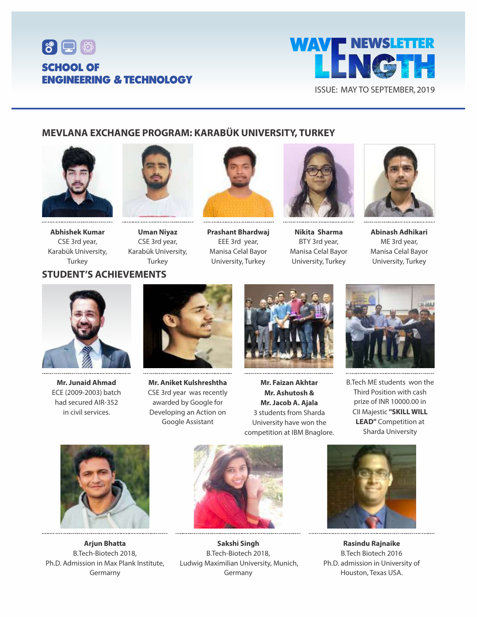



### **MEVLANA EXCHANGE PROGRAM: KARABÜK UNIVERSITY, TURKEY**





**Abhishek Kumar** CSE 3rd year, Karabük University, **Turkey** 

**Uman Niyaz** CSE 3rd year, Karabük University, Turkey



**Prashant Bhardwaj**  EEE 3rd year, Manisa Celal Bayor University, Turkey



**Nikita Sharma** BTY 3rd year, Manisa Celal Bayor University, Turkey



**Abinash Adhikari** ME 3rd year, Manisa Celal Bayor University, Turkey



**Mr. Junaid Ahmad** ECE (2009-2003) batch had secured AIR-352 in civil services.



**Mr. Aniket Kulshreshtha** CSE 3rd year was recently awarded by Google for Developing an Action on Google Assistant



**Mr. Faizan Akhtar Mr. Ashutosh & Mr. Jacob A. Ajala** 3 students from Sharda University have won the competition at IBM Bnaglore.



B.Tech ME students won the Third Position with cash prize of INR 10000.00 in CII Majestic **"SKILL WILL LEAD"** Competition at Sharda University



**Arjun Bhatta** B.Tech-Biotech 2018, Ph.D. Admission in Max Plank Institute, Germarny



**Sakshi Singh** B.Tech-Biotech 2018, Ludwig Maximilian University, Munich, Germany



**Rasindu Rajnaike** B.Tech Biotech 2016 Ph.D. admission in University of Houston, Texas USA.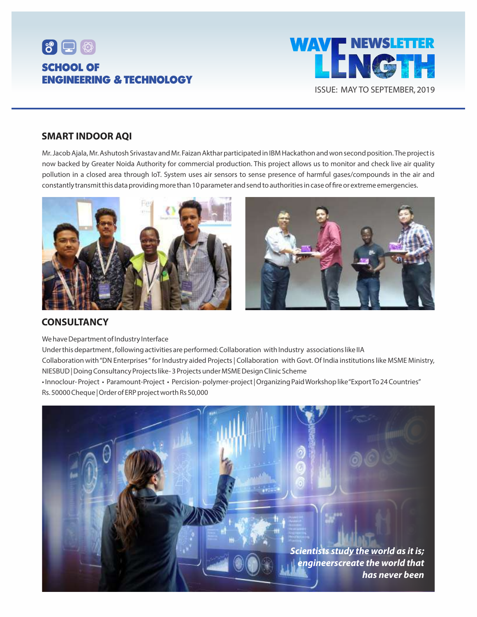



### **SMART INDOOR AQI**

Mr. Jacob Ajala, Mr. Ashutosh Srivastav and Mr. Faizan Akthar participated in IBM Hackathon and won second position. The project is now backed by Greater Noida Authority for commercial production. This project allows us to monitor and check live air quality pollution in a closed area through IoT. System uses air sensors to sense presence of harmful gases/compounds in the air and constantly transmit this data providing more than 10 parameter and send to authorities in case of fire or extreme emergencies.



### **CONSULTANCY**

We have Department of Industry Interface

Under this department , following activities are performed: Collaboration with Industry associations like IIA

Collaboration with "DN Enterprises " for Industry aided Projects | Collaboration with Govt. Of India institutions like MSME Ministry, NIESBUD | Doing Consultancy Projects like- 3 Projects under MSME Design Clinic Scheme

• Innoclour- Project • Paramount-Project • Percision- polymer-project | Organizing Paid Workshop like "Export To 24 Countries" Rs. 50000 Cheque | Order of ERP project worth Rs 50,000

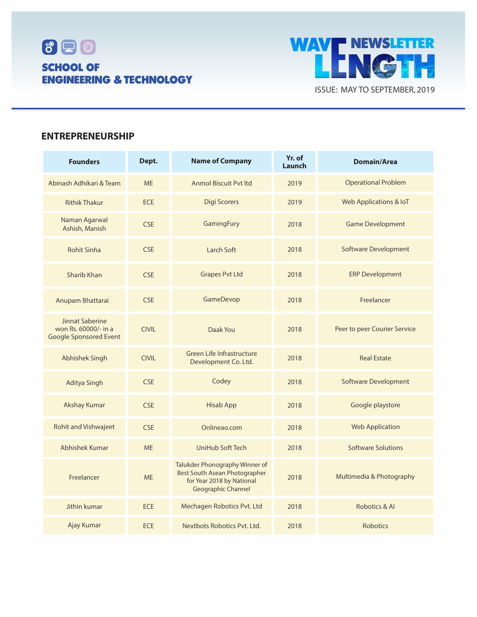



### **ENTREPRENEURSHIP**

| <b>Founders</b>                                                          | Dept.        | <b>Name of Company</b>                                                                                                           | Yr. of<br>Launch | <b>Domain/Area</b>                |  |
|--------------------------------------------------------------------------|--------------|----------------------------------------------------------------------------------------------------------------------------------|------------------|-----------------------------------|--|
| Abinash Adhikari & Team                                                  | <b>ME</b>    | <b>Anmol Biscuit Pyt Itd</b>                                                                                                     | 2019             | <b>Operational Problem</b>        |  |
| <b>Rithik Thakur</b>                                                     | <b>ECE</b>   | <b>Digi Scorers</b>                                                                                                              | 2019             | <b>Web Applications &amp; IoT</b> |  |
| Naman Agarwal<br>Ashish, Manish                                          | <b>CSE</b>   | GamingFury<br>2018                                                                                                               |                  | <b>Game Development</b>           |  |
| <b>Rohit Sinha</b>                                                       | <b>CSE</b>   | <b>Larch Soft</b><br>2018                                                                                                        |                  | <b>Software Development</b>       |  |
| Sharib Khan                                                              | <b>CSE</b>   | <b>Grapes Pvt Ltd</b><br>2018                                                                                                    |                  | <b>ERP Development</b>            |  |
| Anupam Bhattarai                                                         | <b>CSE</b>   | GameDevop<br>2018                                                                                                                |                  | Freelancer                        |  |
| Jinnat Saberine<br>won Rs. 60000/- in a<br><b>Google Sponsored Event</b> | <b>CIVIL</b> | Daak You<br>2018                                                                                                                 |                  | Peer to peer Courier Service      |  |
| <b>Abhishek Singh</b>                                                    | <b>CIVIL</b> | <b>Green Life Infrastructure</b><br>2018<br>Development Co. Ltd.                                                                 |                  | <b>Real Estate</b>                |  |
| <b>Aditya Singh</b>                                                      | <b>CSE</b>   | Codey<br>2018                                                                                                                    |                  | <b>Software Development</b>       |  |
| <b>Akshay Kumar</b>                                                      | <b>CSE</b>   | <b>Hisab App</b><br>2018                                                                                                         |                  | Google playstore                  |  |
| <b>Rohit and Vishwajeet</b>                                              | <b>CSE</b>   | Onlineao.com                                                                                                                     | 2018             | <b>Web Application</b>            |  |
| Abhishek Kumar                                                           | <b>ME</b>    | UniHub Soft Tech<br>2018                                                                                                         |                  | <b>Software Solutions</b>         |  |
| Freelancer                                                               | <b>ME</b>    | Talukder Phonography Winner of<br><b>Best South Asean Photographer</b><br>for Year 2018 by National<br><b>Geographic Channel</b> | 2018             | Multimedia & Photography          |  |
| Jithin kumar                                                             | <b>ECE</b>   | Mechagen Robotics Pvt. Ltd                                                                                                       | 2018             | Robotics & Al                     |  |
| Ajay Kumar                                                               | <b>ECE</b>   | Nextbots Robotics Pvt. Ltd.                                                                                                      | 2018             | <b>Robotics</b>                   |  |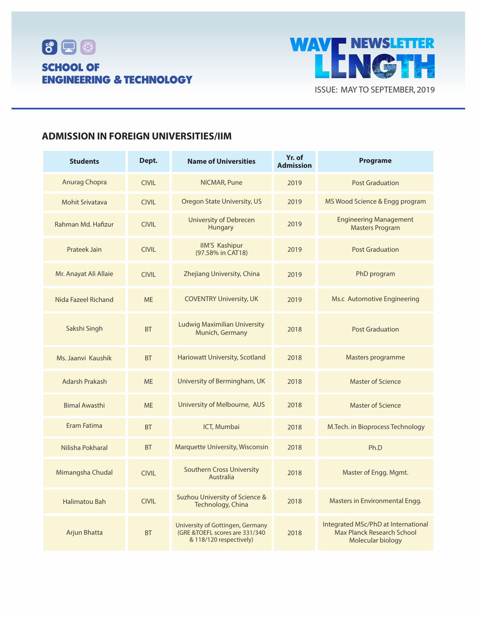



### **ADMISSION IN FOREIGN UNIVERSITIES/IIM**

| <b>Students</b>        | Dept.        | <b>Name of Universities</b>                                                                    | Yr. of<br><b>Admission</b>                              | <b>Programe</b>                                                                               |  |  |
|------------------------|--------------|------------------------------------------------------------------------------------------------|---------------------------------------------------------|-----------------------------------------------------------------------------------------------|--|--|
| Anurag Chopra          | <b>CIVIL</b> | NICMAR, Pune                                                                                   | 2019                                                    | <b>Post Graduation</b>                                                                        |  |  |
| <b>Mohit Srivatava</b> | <b>CIVIL</b> | Oregon State University, US                                                                    | 2019                                                    | MS Wood Science & Engg program                                                                |  |  |
| Rahman Md. Hafizur     | <b>CIVIL</b> | <b>University of Debrecen</b><br>Hungary                                                       | <b>Engineering Management</b><br><b>Masters Program</b> |                                                                                               |  |  |
| <b>Prateek Jain</b>    | <b>CIVIL</b> | <b>IIM'S Kashipur</b><br>2019<br>(97.58% in CAT18)                                             |                                                         | <b>Post Graduation</b>                                                                        |  |  |
| Mr. Anayat Ali Allaie  | <b>CIVIL</b> | Zhejiang University, China<br>2019                                                             |                                                         | PhD program                                                                                   |  |  |
| Nida Fazeel Richand    | <b>ME</b>    | <b>COVENTRY University, UK</b><br>2019                                                         |                                                         | Ms.c Automotive Engineering                                                                   |  |  |
| Sakshi Singh           | <b>BT</b>    | <b>Ludwig Maximilian University</b><br>2018<br>Munich, Germany                                 |                                                         | <b>Post Graduation</b>                                                                        |  |  |
| Ms. Jaanvi Kaushik     | <b>BT</b>    | Hariowatt University, Scotland                                                                 | 2018                                                    | Masters programme                                                                             |  |  |
| <b>Adarsh Prakash</b>  | <b>MF</b>    | University of Bermingham, UK                                                                   | 2018                                                    | <b>Master of Science</b>                                                                      |  |  |
| <b>Bimal Awasthi</b>   | <b>ME</b>    | University of Melbourne, AUS<br>2018                                                           |                                                         | <b>Master of Science</b>                                                                      |  |  |
| Eram Fatima            | <b>BT</b>    | ICT, Mumbai<br>2018                                                                            |                                                         | M. Tech. in Bioprocess Technology                                                             |  |  |
| Nilisha Pokharal       | <b>BT</b>    | Marquette University, Wisconsin<br>2018                                                        |                                                         | Ph.D                                                                                          |  |  |
| Mimangsha Chudal       | <b>CIVIL</b> | <b>Southern Cross University</b><br>2018<br>Australia                                          |                                                         | Master of Engg. Mgmt.                                                                         |  |  |
| <b>Halimatou Bah</b>   | <b>CIVIL</b> | Suzhou University of Science &<br>Technology, China                                            | 2018                                                    | Masters in Environmental Engg.                                                                |  |  |
| Arjun Bhatta           | <b>BT</b>    | University of Gottingen, Germany<br>(GRE &TOEFL scores are 331/340)<br>& 118/120 respectively) | 2018                                                    | Integrated MSc/PhD at International<br><b>Max Planck Research School</b><br>Molecular biology |  |  |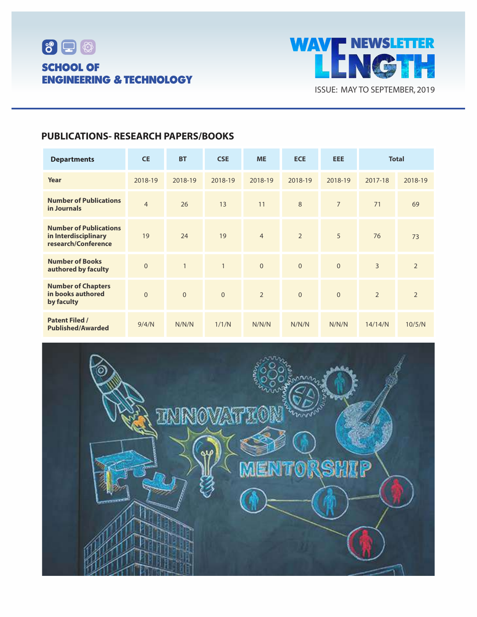



## **PUBLICATIONS- RESEARCH PAPERS/BOOKS**

| <b>Departments</b>                                                           | <b>CE</b>      | <b>BT</b>      | <b>CSE</b>   | <b>ME</b>      | <b>ECE</b>     | <b>EEE</b>     | <b>Total</b>   |                |
|------------------------------------------------------------------------------|----------------|----------------|--------------|----------------|----------------|----------------|----------------|----------------|
| Year                                                                         | 2018-19        | 2018-19        | 2018-19      | 2018-19        | 2018-19        | 2018-19        | 2017-18        | 2018-19        |
| <b>Number of Publications</b><br>in Journals                                 | $\overline{4}$ | 26             | 13           | 11             | 8              | $\overline{7}$ | 71             | 69             |
| <b>Number of Publications</b><br>in Interdisciplinary<br>research/Conference | 19             | 24             | 19           | $\overline{4}$ | $\overline{2}$ | 5              | 76             | 73             |
| <b>Number of Books</b><br>authored by faculty                                | $\overline{0}$ | $\mathbf{1}$   | $\mathbf{1}$ | $\overline{0}$ | $\overline{0}$ | $\overline{0}$ | $\overline{3}$ | $\overline{2}$ |
| <b>Number of Chapters</b><br>in books authored<br>by faculty                 | $\overline{0}$ | $\overline{0}$ | $\mathbf{0}$ | $\overline{2}$ | $\overline{0}$ | $\overline{0}$ | $\overline{2}$ | $\overline{2}$ |
| <b>Patent Filed /</b><br><b>Published/Awarded</b>                            | 9/4/N          | N/N/N          | 1/1/N        | N/N/N          | N/N/N          | N/N/N          | 14/14/N        | 10/5/N         |

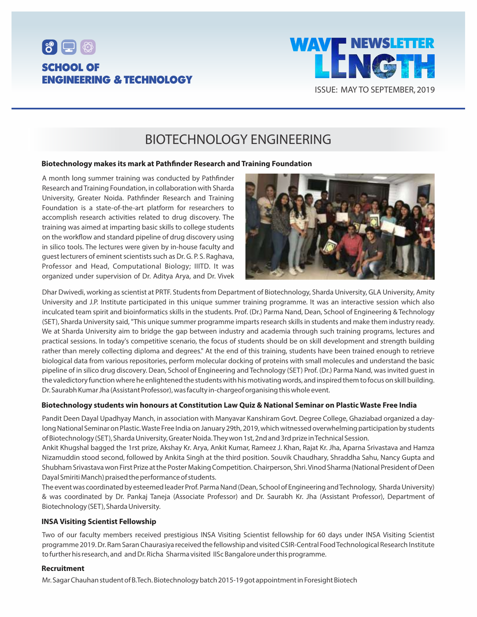



## BIOTECHNOLOGY ENGINEERING

#### **Biotechnology makes its mark at Pathnder Research and Training Foundation**

A month long summer training was conducted by Pathfinder Research and Training Foundation, in collaboration with Sharda University, Greater Noida. Pathfinder Research and Training Foundation is a state-of-the-art platform for researchers to accomplish research activities related to drug discovery. The training was aimed at imparting basic skills to college students on the workflow and standard pipeline of drug discovery using in silico tools. The lectures were given by in-house faculty and guest lecturers of eminent scientists such as Dr. G. P. S. Raghava, Professor and Head, Computational Biology; IIITD. It was organized under supervision of Dr. Aditya Arya, and Dr. Vivek



Dhar Dwivedi, working as scientist at PRTF. Students from Department of Biotechnology, Sharda University, GLA University, Amity University and J.P. Institute participated in this unique summer training programme. It was an interactive session which also inculcated team spirit and bioinformatics skills in the students. Prof. (Dr.) Parma Nand, Dean, School of Engineering & Technology (SET), Sharda University said, "This unique summer programme imparts research skills in students and make them industry ready. We at Sharda University aim to bridge the gap between industry and academia through such training programs, lectures and practical sessions. In today's competitive scenario, the focus of students should be on skill development and strength building rather than merely collecting diploma and degrees." At the end of this training, students have been trained enough to retrieve biological data from various repositories, perform molecular docking of proteins with small molecules and understand the basic pipeline of in silico drug discovery. Dean, School of Engineering and Technology (SET) Prof. (Dr.) Parma Nand, was invited guest in the valedictory function where he enlightened the students with his motivating words, and inspired them to focus on skill building. Dr. Saurabh Kumar Jha (Assistant Professor), was faculty in-chargeof organising this whole event.

#### **Biotechnology students win honours at Constitution Law Quiz & National Seminar on Plastic Waste Free India**

Pandit Deen Dayal Upadhyay Manch, in association with Manyavar Kanshiram Govt. Degree College, Ghaziabad organized a daylong National Seminar on Plastic. Waste Free India on January 29th, 2019, which witnessed overwhelming participation by students of Biotechnology (SET), Sharda University, Greater Noida. They won 1st, 2nd and 3rd prize in Technical Session.

Ankit Khugshal bagged the 1rst prize, Akshay Kr. Arya, Ankit Kumar, Rameez J. Khan, Rajat Kr. Jha, Aparna Srivastava and Hamza Nizamuddin stood second, followed by Ankita Singh at the third position. Souvik Chaudhary, Shraddha Sahu, Nancy Gupta and Shubham Srivastava won First Prize at the Poster Making Competition. Chairperson, Shri. Vinod Sharma (National President of Deen Dayal Smiriti Manch) praised the performance of students.

The event was coordinated by esteemed leader Prof. Parma Nand (Dean, School of Engineering and Technology, Sharda University) & was coordinated by Dr. Pankaj Taneja (Associate Professor) and Dr. Saurabh Kr. Jha (Assistant Professor), Department of Biotechnology (SET), Sharda University.

#### **INSA Visiting Scientist Fellowship**

Two of our faculty members received prestigious INSA Visiting Scientist fellowship for 60 days under INSA Visiting Scientist programme 2019. Dr. Ram Saran Chaurasiya received the fellowship and visited CSIR-Central Food Technological Research Institute to further his research, and and Dr. Richa Sharma visited IISc Bangalore under this programme.

#### **Recruitment**

Mr. Sagar Chauhan student of B.Tech. Biotechnology batch 2015-19 got appointment in Foresight Biotech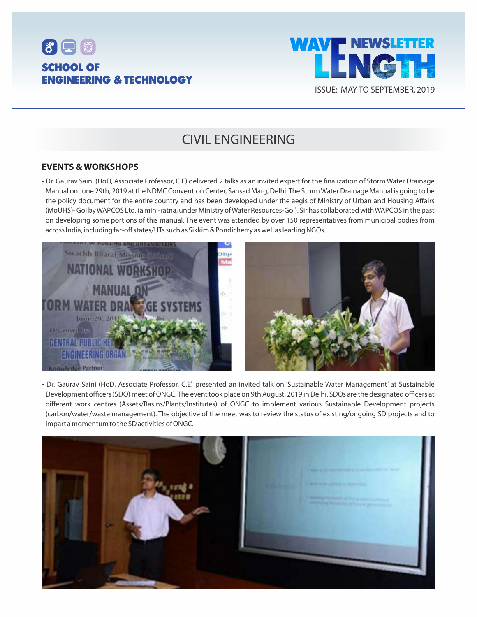



## CIVIL ENGINEERING

### **EVENTS & WORKSHOPS**

• Dr. Gaurav Saini (HoD, Associate Professor, C.E) delivered 2 talks as an invited expert for the finalization of Storm Water Drainage Manual on June 29th, 2019 at the NDMC Convention Center, Sansad Marg, Delhi. The Storm Water Drainage Manual is going to be the policy document for the entire country and has been developed under the aegis of Ministry of Urban and Housing Affairs (MoUHS)- GoI by WAPCOS Ltd. (a mini-ratna, under Ministry of Water Resources-GoI). Sir has collaborated with WAPCOS in the past on developing some portions of this manual. The event was attended by over 150 representatives from municipal bodies from across India, including far-off states/UTs such as Sikkim & Pondicherry as well as leading NGOs.



• Dr. Gaurav Saini (HoD, Associate Professor, C.E) presented an invited talk on 'Sustainable Water Management' at Sustainable Development officers (SDO) meet of ONGC. The event took place on 9th August, 2019 in Delhi. SDOs are the designated officers at different work centres (Assets/Basins/Plants/Institutes) of ONGC to implement various Sustainable Development projects (carbon/water/waste management). The objective of the meet was to review the status of existing/ongoing SD projects and to impart a momentum to the SD activities of ONGC.

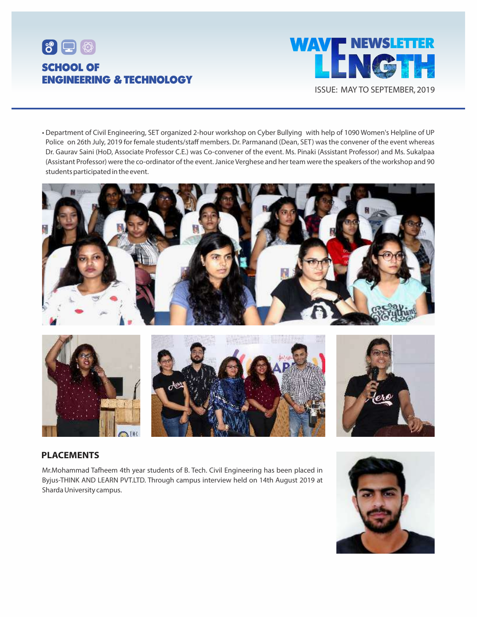



• Department of Civil Engineering, SET organized 2-hour workshop on Cyber Bullying with help of 1090 Women's Helpline of UP Police on 26th July, 2019 for female students/staff members. Dr. Parmanand (Dean, SET) was the convener of the event whereas Dr. Gaurav Saini (HoD, Associate Professor C.E.) was Co-convener of the event. Ms. Pinaki (Assistant Professor) and Ms. Sukalpaa (Assistant Professor) were the co-ordinator of the event. Janice Verghese and her team were the speakers of the workshop and 90 students participated in the event.





### **PLACEMENTS**

Mr.Mohammad Tafheem 4th year students of B. Tech. Civil Engineering has been placed in Byjus-THINK AND LEARN PVT.LTD. Through campus interview held on 14th August 2019 at Sharda University campus.

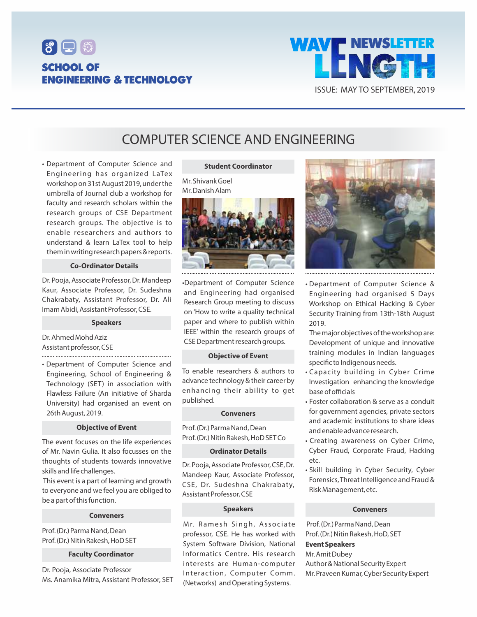



## COMPUTER SCIENCE AND ENGINEERING

• Department of Computer Science and Engineering has organized LaTex workshop on 31st August 2019, under the umbrella of Journal club a workshop for faculty and research scholars within the research groups of CSE Department research groups. The objective is to enable researchers and authors to understand & learn LaTex tool to help them in writing research papers & reports.

#### **Co-Ordinator Details**

Dr. Pooja, Associate Professor, Dr. Mandeep Kaur, Associate Professor, Dr. Sudeshna Chakrabaty, Assistant Professor, Dr. Ali Imam Abidi, Assistant Professor, CSE.

#### **Speakers**

Dr. Ahmed Mohd Aziz Assistant professor, CSE 

• Department of Computer Science and Engineering, School of Engineering & Technology (SET) in association with Flawless Failure (An initiative of Sharda University) had organised an event on 26th August, 2019.

#### **Objective of Event**

The event focuses on the life experiences of Mr. Navin Gulia. It also focusses on the thoughts of students towards innovative skills and life challenges.

This event is a part of learning and growth to everyone and we feel you are obliged to be a part of this function.

#### **Conveners**

Prof. (Dr.) Parma Nand, Dean Prof. (Dr.) Nitin Rakesh, HoD SET

#### **Faculty Coordinator**

Dr. Pooja, Associate Professor Ms. Anamika Mitra, Assistant Professor, SET

#### **Student Coordinator**

Mr. Shivank Goel Mr. Danish Alam



•Department of Computer Science and Engineering had organised Research Group meeting to discuss on 'How to write a quality technical paper and where to publish within IEEE' within the research groups of CSE Department research groups.

#### **Objective of Event**

To enable researchers & authors to advance technology & their career by enhancing their ability to get published.

#### **Conveners**

Prof. (Dr.) Parma Nand, Dean Prof. (Dr.) Nitin Rakesh, HoD SET Co

#### **Ordinator Details**

Dr. Pooja, Associate Professor, CSE, Dr. Mandeep Kaur, Associate Professor, CSE, Dr. Sudeshna Chakrabaty, Assistant Professor, CSE

#### **Speakers**

Mr. Ramesh Singh, Associate professor, CSE. He has worked with System Software Division, National Informatics Centre. His research interests are Human-computer Interaction, Computer Comm. (Networks) and Operating Systems.



• Department of Computer Science & Engineering had organised 5 Days Workshop on Ethical Hacking & Cyber Security Training from 13th-18th August 2019.

The major objectives of the workshop are: Development of unique and innovative training modules in Indian languages specific to Indigenous needs.

- Capacity building in Cyber Crime Investigation enhancing the knowledge base of officials
- Foster collaboration & serve as a conduit for government agencies, private sectors and academic institutions to share ideas and enable advance research.
- Creating awareness on Cyber Crime, Cyber Fraud, Corporate Fraud, Hacking etc.
- Skill building in Cyber Security, Cyber Forensics, Threat Intelligence and Fraud & Risk Management, etc.

#### **Conveners**

Prof. (Dr.) Parma Nand, Dean Prof. (Dr.) Nitin Rakesh, HoD, SET **Event Speakers** Mr. Amit Dubey Author & National Security Expert Mr. Praveen Kumar, Cyber Security Expert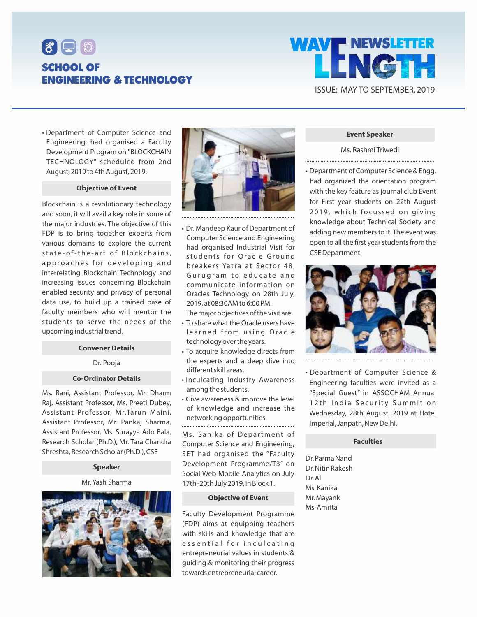



• Department of Computer Science and Engineering, had organised a Faculty Development Program on "BLOCKCHAIN TECHNOLOGY" scheduled from 2nd August, 2019 to 4th August, 2019.

#### **Objective of Event**

Blockchain is a revolutionary technology and soon, it will avail a key role in some of the major industries. The objective of this FDP is to bring together experts from various domains to explore the current state-of-the-art of Blockchains, approaches for developing and interrelating Blockchain Technology and increasing issues concerning Blockchain enabled security and privacy of personal data use, to build up a trained base of faculty members who will mentor the students to serve the needs of the upcoming industrial trend.

#### **Convener Details**

#### Dr. Pooja

#### **Co-Ordinator Details**

Ms. Rani, Assistant Professor, Mr. Dharm Raj, Assistant Professor, Ms. Preeti Dubey, Assistant Professor, Mr.Tarun Maini, Assistant Professor, Mr. Pankaj Sharma, Assistant Professor, Ms. Surayya Ado Bala, Research Scholar (Ph.D.), Mr. Tara Chandra Shreshta, Research Scholar (Ph.D.), CSE

#### **Speaker**

Mr. Yash Sharma





• Dr. Mandeep Kaur of Department of Computer Science and Engineering had organised Industrial Visit for students for Oracle Ground breakers Yatra at Sector 48. Gurugram to educate and communicate information on Oracles Technology on 28th July, 2019, at 08:30AM to 6:00 PM.

The major objectives of the visit are:

- To share what the Oracle users have learned from using Oracle technology over the years.
- To acquire knowledge directs from the experts and a deep dive into different skill areas.
- Inculcating Industry Awareness among the students.
- Give awareness & improve the level of knowledge and increase the networking opportunities.

Ms. Sanika of Department of Computer Science and Engineering, SET had organised the "Faculty Development Programme/T3" on Social Web Mobile Analytics on July 17th -20th July 2019, in Block 1.

#### **Objective of Event**

Faculty Development Programme (FDP) aims at equipping teachers with skills and knowledge that are essential for inculcating entrepreneurial values in students & guiding & monitoring their progress towards entrepreneurial career.

#### **Event Speaker**

Ms. Rashmi Triwedi 

• Department of Computer Science & Engg. had organized the orientation program with the key feature as journal club Event for First year students on 22th August 2019, which focussed on giving knowledge about Technical Society and adding new members to it. The event was open to all the first year students from the CSE Department.



• Department of Computer Science & Engineering faculties were invited as a "Special Guest" in ASSOCHAM Annual 12th India Security Summit on Wednesday, 28th August, 2019 at Hotel Imperial, Janpath, New Delhi.

#### **Faculties**

Dr. Parma Nand Dr. Nitin Rakesh Dr. Ali Ms. Kanika Mr. Mayank Ms. Amrita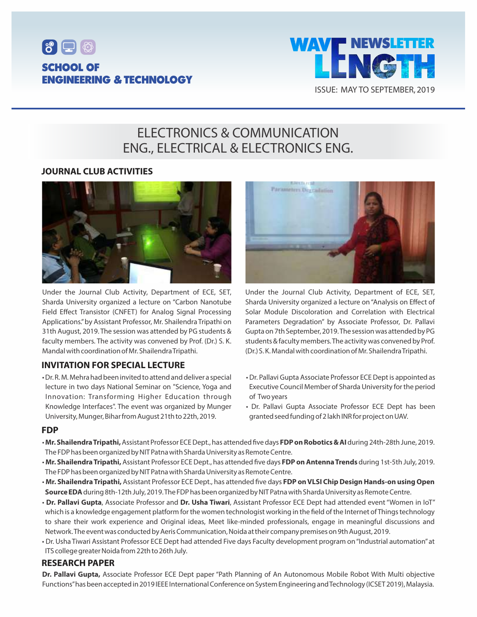



## ELECTRONICS & COMMUNICATION ENG., ELECTRICAL & ELECTRONICS ENG.

### **JOURNAL CLUB ACTIVITIES**



Under the Journal Club Activity, Department of ECE, SET, Sharda University organized a lecture on "Carbon Nanotube Field Effect Transistor (CNFET) for Analog Signal Processing Applications."by Assistant Professor, Mr. Shailendra Tripathi on 31th August, 2019. The session was attended by PG students & faculty members. The activity was convened by Prof. (Dr.) S. K. Mandal with coordination of Mr. Shailendra Tripathi.

### **INVITATION FOR SPECIAL LECTURE**

• Dr. R. M. Mehra had been invited to attend and deliver a special lecture in two days National Seminar on "Science, Yoga and Innovation: Transforming Higher Education through Knowledge Interfaces". The event was organized by Munger University, Munger, Bihar from August 21th to 22th, 2019.



Under the Journal Club Activity, Department of ECE, SET, Sharda University organized a lecture on "Analysis on Effect of Solar Module Discoloration and Correlation with Electrical Parameters Degradation" by Associate Professor, Dr. Pallavi Gupta on 7th September, 2019. The session was attended by PG students & faculty members. The activity was convened by Prof. (Dr.) S. K. Mandal with coordination of Mr. Shailendra Tripathi.

- Dr. Pallavi Gupta Associate Professor ECE Dept is appointed as Executive Council Member of Sharda University for the period of Two years
- Dr. Pallavi Gupta Associate Professor ECE Dept has been granted seed funding of 2 lakh INR for project on UAV.

#### **FDP**

- Mr. Shailendra Tripathi, Assistant Professor ECE Dept., has attended five days FDP on Robotics & AI during 24th-28th June, 2019. The FDP has been organized by NIT Patna with Sharda University as Remote Centre.
- Mr. Shailendra Tripathi, Assistant Professor ECE Dept., has attended five days FDP on Antenna Trends during 1st-5th July, 2019. The FDP has been organized by NIT Patna with Sharda University as Remote Centre.
- Mr. Shailendra Tripathi, Assistant Professor ECE Dept., has attended five days FDP on VLSI Chip Design Hands-on using Open **Source EDA**during 8th-12th July, 2019. The FDP has been organized by NIT Patna with Sharda University as Remote Centre.
- **Dr. Pallavi Gupta**, Associate Professor and **Dr. Usha Tiwari**, Assistant Professor ECE Dept had attended event "Women in IoT" which is a knowledge engagement platform for the women technologist working in the field of the Internet of Things technology to share their work experience and Original ideas, Meet like-minded professionals, engage in meaningful discussions and Network. The event was conducted by Aeris Communication, Noida at their company premises on 9th August, 2019.
- Dr. Usha Tiwari Assistant Professor ECE Dept had attended Five days Faculty development program on "Industrial automation"at ITS college greater Noida from 22th to 26th July.

#### **RESEARCH PAPER**

**Dr. Pallavi Gupta,** Associate Professor ECE Dept paper "Path Planning of An Autonomous Mobile Robot With Multi objective Functions"has been accepted in 2019 IEEE International Conference on System Engineering and Technology (ICSET 2019), Malaysia.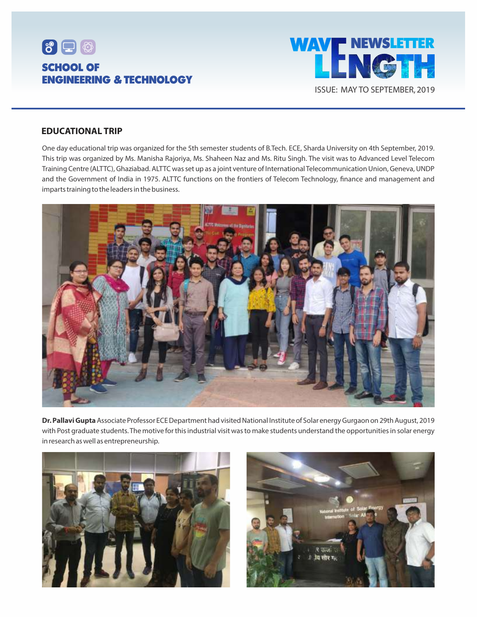



#### **EDUCATIONAL TRIP**

One day educational trip was organized for the 5th semester students of B.Tech. ECE, Sharda University on 4th September, 2019. This trip was organized by Ms. Manisha Rajoriya, Ms. Shaheen Naz and Ms. Ritu Singh. The visit was to Advanced Level Telecom Training Centre (ALTTC), Ghaziabad. ALTTC was set up as a joint venture of International Telecommunication Union, Geneva, UNDP and the Government of India in 1975. ALTTC functions on the frontiers of Telecom Technology, finance and management and imparts training to the leaders in the business.



**Dr. Pallavi Gupta**Associate Professor ECE Department had visited National Institute of Solar energy Gurgaon on 29th August, 2019 with Post graduate students. The motive for this industrial visit was to make students understand the opportunities in solar energy in research as well as entrepreneurship.



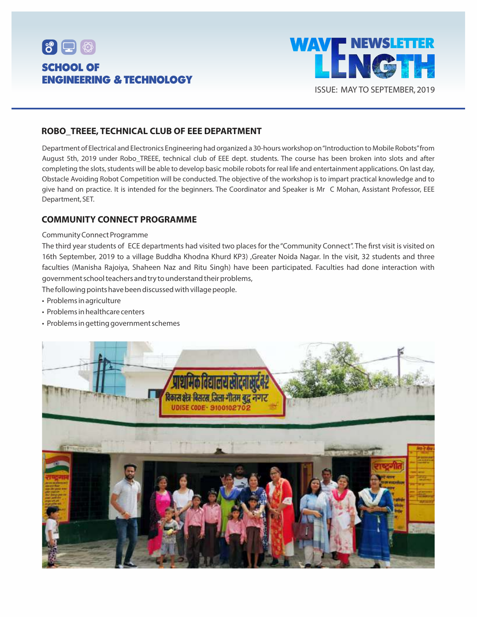



### **ROBO\_TREEE, TECHNICAL CLUB OF EEE DEPARTMENT**

Department of Electrical and Electronics Engineering had organized a 30-hours workshop on "Introduction to Mobile Robots"from August 5th, 2019 under Robo\_TREEE, technical club of EEE dept. students. The course has been broken into slots and after completing the slots, students will be able to develop basic mobile robots for real life and entertainment applications. On last day, Obstacle Avoiding Robot Competition will be conducted. The objective of the workshop is to impart practical knowledge and to give hand on practice. It is intended for the beginners. The Coordinator and Speaker is Mr C Mohan, Assistant Professor, EEE Department, SET.

### **COMMUNITY CONNECT PROGRAMME**

#### Community Connect Programme

The third year students of ECE departments had visited two places for the "Community Connect". The first visit is visited on 16th September, 2019 to a village Buddha Khodna Khurd KP3) ,Greater Noida Nagar. In the visit, 32 students and three faculties (Manisha Rajoiya, Shaheen Naz and Ritu Singh) have been participated. Faculties had done interaction with government school teachers and try to understand their problems,

The following points have been discussed with village people.

- Problems in agriculture
- Problems in healthcare centers
- Problems in getting government schemes

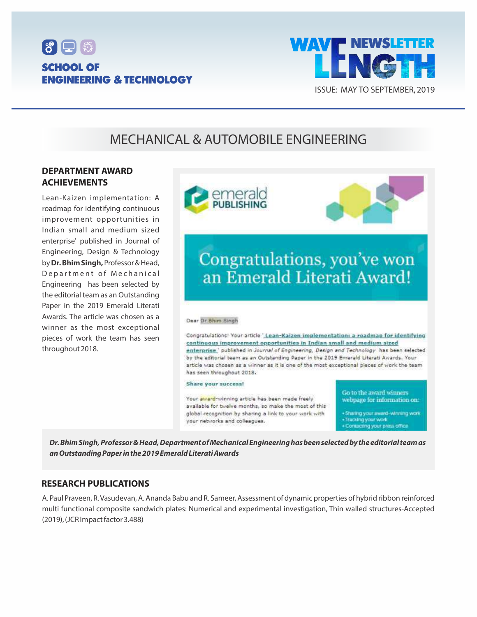



## MECHANICAL & AUTOMOBILE ENGINEERING

### **DEPARTMENT AWARD ACHIEVEMENTS**

Lean-Kaizen implementation: A roadmap for identifying continuous improvement opportunities in Indian small and medium sized enterprise' published in Journal of Engineering, Design & Technology by **Dr. Bhim Singh,**Professor & Head, Department of Mechanical Engineering has been selected by the editorial team as an Outstanding Paper in the 2019 Emerald Literati Awards. The article was chosen as a winner as the most exceptional pieces of work the team has seen throughout 2018.



**Dr. Bhim Singh, Professor & Head, Department of Mechanical Engineering has been selected by the editorial team as an Outstanding Paper in the 2019 Emerald Literati Awards**

### **RESEARCH PUBLICATIONS**

A. Paul Praveen, R. Vasudevan, A. Ananda Babu and R. Sameer, Assessment of dynamic properties of hybrid ribbon reinforced multi functional composite sandwich plates: Numerical and experimental investigation, Thin walled structures-Accepted (2019), (JCR Impact factor 3.488)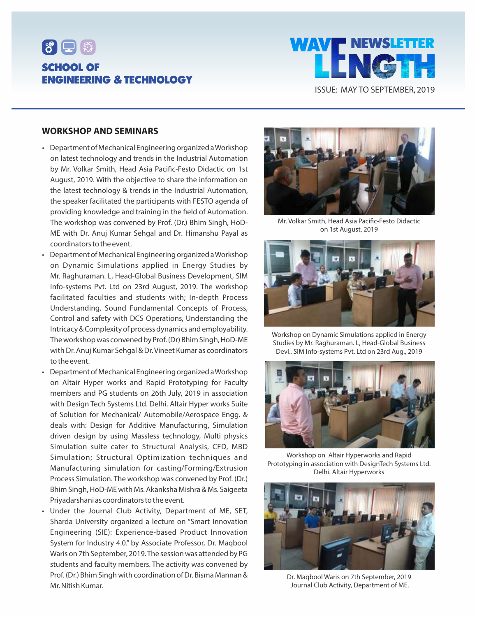



#### **WORKSHOP AND SEMINARS**

- Department of Mechanical Engineering organized a Workshop on latest technology and trends in the Industrial Automation by Mr. Volkar Smith, Head Asia Pacific-Festo Didactic on 1st August, 2019. With the objective to share the information on the latest technology & trends in the Industrial Automation, the speaker facilitated the participants with FESTO agenda of providing knowledge and training in the field of Automation. The workshop was convened by Prof. (Dr.) Bhim Singh, HoD-ME with Dr. Anuj Kumar Sehgal and Dr. Himanshu Payal as coordinators to the event.
- Department of Mechanical Engineering organized a Workshop on Dynamic Simulations applied in Energy Studies by Mr. Raghuraman. L, Head-Global Business Development, SIM Info-systems Pvt. Ltd on 23rd August, 2019. The workshop facilitated faculties and students with; In-depth Process Understanding, Sound Fundamental Concepts of Process, Control and safety with DCS Operations, Understanding the Intricacy & Complexity of process dynamics and employability. The workshop was convened by Prof. (Dr) Bhim Singh, HoD-ME with Dr. Anuj Kumar Sehgal & Dr. Vineet Kumar as coordinators to the event.
- Department of Mechanical Engineering organized a Workshop on Altair Hyper works and Rapid Prototyping for Faculty members and PG students on 26th July, 2019 in association with Design Tech Systems Ltd. Delhi. Altair Hyper works Suite of Solution for Mechanical/ Automobile/Aerospace Engg. & deals with: Design for Additive Manufacturing, Simulation driven design by using Massless technology, Multi physics Simulation suite cater to Structural Analysis, CFD, MBD Simulation; Structural Optimization techniques and Manufacturing simulation for casting/Forming/Extrusion Process Simulation. The workshop was convened by Prof. (Dr.) Bhim Singh, HoD-ME with Ms. Akanksha Mishra & Ms. Saigeeta Priyadarshani as coordinators to the event.
- Under the Journal Club Activity, Department of ME, SET, Sharda University organized a lecture on "Smart Innovation Engineering (SIE): Experience-based Product Innovation System for Industry 4.0." by Associate Professor, Dr. Maqbool Waris on 7th September, 2019. The session was attended by PG students and faculty members. The activity was convened by Prof. (Dr.) Bhim Singh with coordination of Dr. Bisma Mannan & Mr. Nitish Kumar.



Mr. Volkar Smith, Head Asia Pacific-Festo Didactic on 1st August, 2019



Workshop on Dynamic Simulations applied in Energy Studies by Mr. Raghuraman. L, Head-Global Business Devl., SIM Info-systems Pvt. Ltd on 23rd Aug., 2019



Workshop on Altair Hyperworks and Rapid Prototyping in association with DesignTech Systems Ltd. Delhi. Altair Hyperworks



Dr. Maqbool Waris on 7th September, 2019 Journal Club Activity, Department of ME.